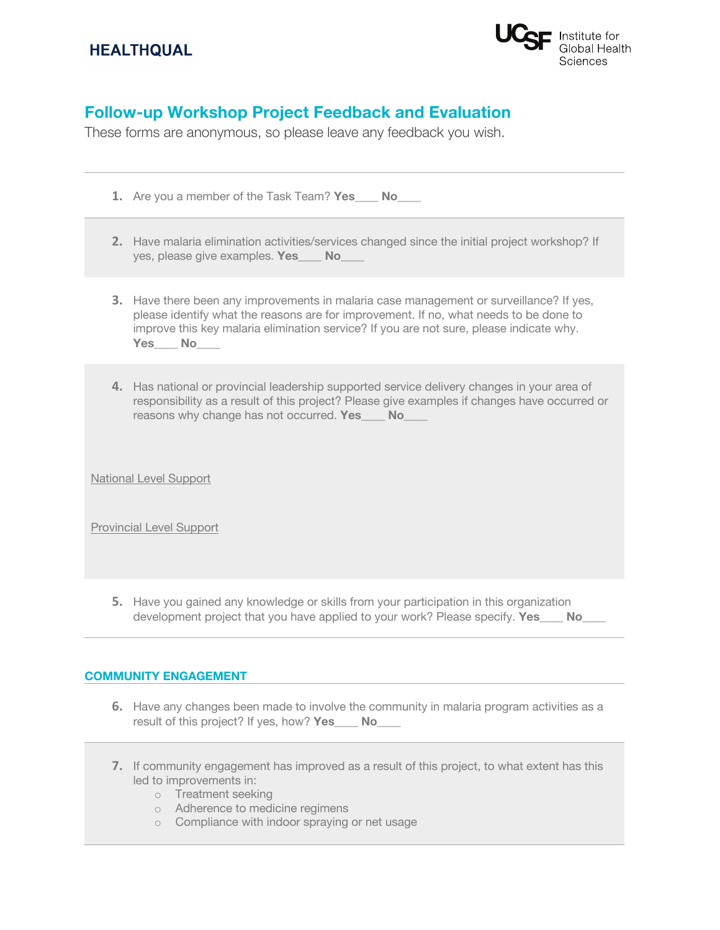# **HEALTHQUAL**



# **Follow-up Workshop Project Feedback and Evaluation**

These forms are anonymous, so please leave any feedback you wish.

- **1.** Are you a member of the Task Team? **Yes\_\_\_\_ No\_\_\_\_**
- **2.** Have malaria elimination activities/services changed since the initial project workshop? If yes, please give examples. **Yes\_\_\_\_ No\_\_\_\_**
- **3.** Have there been any improvements in malaria case management or surveillance? If yes, please identify what the reasons are for improvement. If no, what needs to be done to improve this key malaria elimination service? If you are not sure, please indicate why. **Yes\_\_\_\_ No\_\_\_\_**
- **4.** Has national or provincial leadership supported service delivery changes in your area of responsibility as a result of this project? Please give examples if changes have occurred or reasons why change has not occurred. **Yes\_\_\_\_ No\_\_\_\_**

National Level Support

Provincial Level Support

**5.** Have you gained any knowledge or skills from your participation in this organization development project that you have applied to your work? Please specify. **Yes** No

#### **COMMUNITY ENGAGEMENT**

- **6.** Have any changes been made to involve the community in malaria program activities as a result of this project? If yes, how? **Yes\_\_\_\_ No\_\_\_\_**
- **7.** If community engagement has improved as a result of this project, to what extent has this led to improvements in:
	- o Treatment seeking
	- o Adherence to medicine regimens
	- o Compliance with indoor spraying or net usage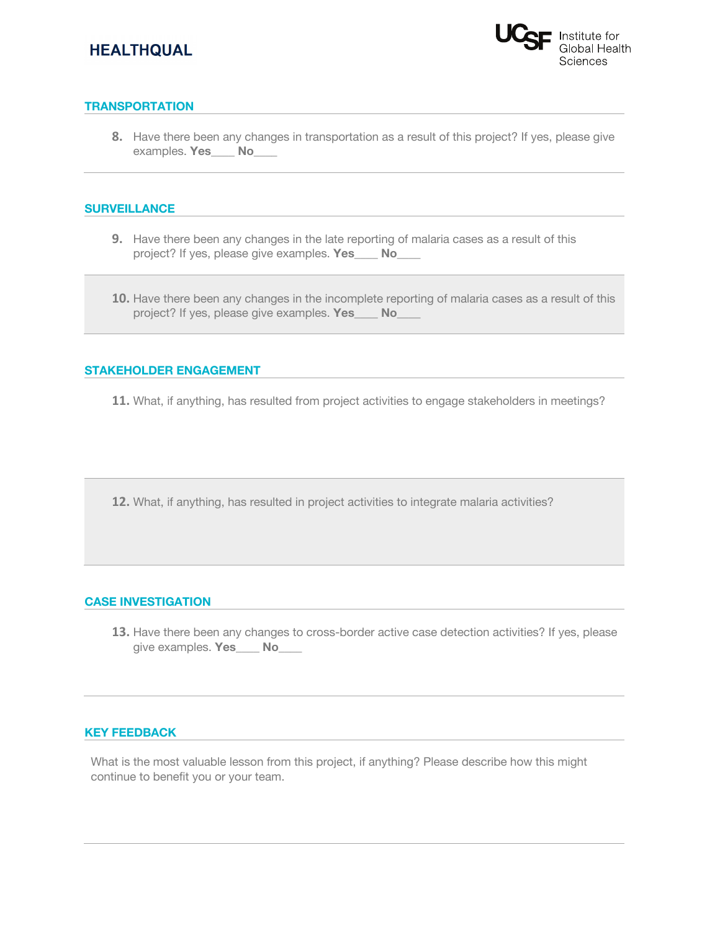# **HEALTHQUAL**



## **TRANSPORTATION**

**8.** Have there been any changes in transportation as a result of this project? If yes, please give examples. **Yes\_\_\_\_ No\_\_\_\_**

#### **SURVEILLANCE**

- **9.** Have there been any changes in the late reporting of malaria cases as a result of this project? If yes, please give examples. **Yes\_\_\_\_ No\_\_\_\_**
- **10.** Have there been any changes in the incomplete reporting of malaria cases as a result of this project? If yes, please give examples. **Yes\_\_\_\_ No\_\_\_\_**

#### **STAKEHOLDER ENGAGEMENT**

**11.** What, if anything, has resulted from project activities to engage stakeholders in meetings?

**12.** What, if anything, has resulted in project activities to integrate malaria activities?

## **CASE INVESTIGATION**

**13.** Have there been any changes to cross-border active case detection activities? If yes, please give examples. **Yes\_\_\_\_ No\_\_\_\_**

#### **KEY FEEDBACK**

What is the most valuable lesson from this project, if anything? Please describe how this might continue to benefit you or your team.